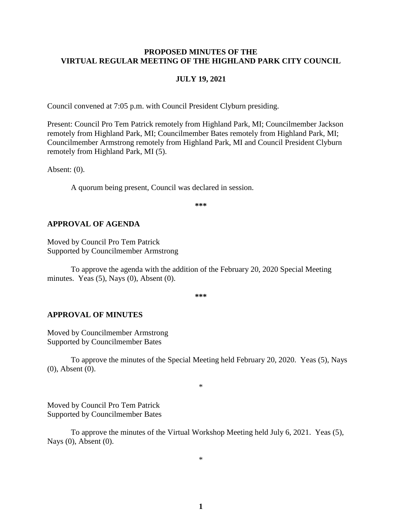#### **PROPOSED MINUTES OF THE VIRTUAL REGULAR MEETING OF THE HIGHLAND PARK CITY COUNCIL**

#### **JULY 19, 2021**

Council convened at 7:05 p.m. with Council President Clyburn presiding.

Present: Council Pro Tem Patrick remotely from Highland Park, MI; Councilmember Jackson remotely from Highland Park, MI; Councilmember Bates remotely from Highland Park, MI; Councilmember Armstrong remotely from Highland Park, MI and Council President Clyburn remotely from Highland Park, MI (5).

Absent: (0).

A quorum being present, Council was declared in session.

**\*\*\***

#### **APPROVAL OF AGENDA**

Moved by Council Pro Tem Patrick Supported by Councilmember Armstrong

To approve the agenda with the addition of the February 20, 2020 Special Meeting minutes. Yeas  $(5)$ , Nays  $(0)$ , Absent  $(0)$ .

**\*\*\***

#### **APPROVAL OF MINUTES**

Moved by Councilmember Armstrong Supported by Councilmember Bates

To approve the minutes of the Special Meeting held February 20, 2020.Yeas (5), Nays (0), Absent (0).

\*

Moved by Council Pro Tem Patrick Supported by Councilmember Bates

To approve the minutes of the Virtual Workshop Meeting held July 6, 2021.Yeas (5), Nays (0), Absent (0).

\*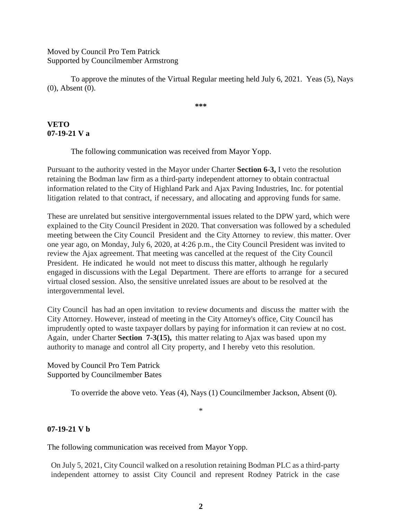### Moved by Council Pro Tem Patrick Supported by Councilmember Armstrong

To approve the minutes of the Virtual Regular meeting held July 6, 2021.Yeas (5), Nays (0), Absent (0).

**\*\*\***

# **VETO 07-19-21 V a**

The following communication was received from Mayor Yopp.

Pursuant to the authority vested in the Mayor under Charter **Section 6-3,** I veto the resolution retaining the Bodman law firm as a third-party independent attorney to obtain contractual information related to the City of Highland Park and Ajax Paving Industries, Inc. for potential litigation related to that contract, if necessary, and allocating and approving funds for same.

These are unrelated but sensitive intergovernmental issues related to the DPW yard, which were explained to the City Council President in 2020. That conversation was followed by a scheduled meeting between the City Council President and the City Attorney to review, this matter. Over one year ago, on Monday, July 6, 2020, at 4:26 p.m., the City Council President was invited to review the Ajax agreement. That meeting was cancelled at the request of the City Council President. He indicated he would not meet to discuss this matter, although he regularly engaged in discussions with the Legal Department. There are efforts to arrange for a secured virtual closed session. Also, the sensitive unrelated issues are about to be resolved at the intergovernmental level.

City Council has had an open invitation to review documents and discuss the matter with the City Attorney. However, instead of meeting in the City Attorney's office, City Council has imprudently opted to waste taxpayer dollars by paying for information it can review at no cost. Again, under Charter **Section 7-3(15),** this matter relating to Ajax was based upon my authority to manage and control all City property, and I hereby veto this resolution.

Moved by Council Pro Tem Patrick Supported by Councilmember Bates

To override the above veto. Yeas (4), Nays (1) Councilmember Jackson, Absent (0).

\*

## **07-19-21 V b**

The following communication was received from Mayor Yopp.

On July 5, 2021, City Council walked on a resolution retaining Bodman PLC as a third-party independent attorney to assist City Council and represent Rodney Patrick in the case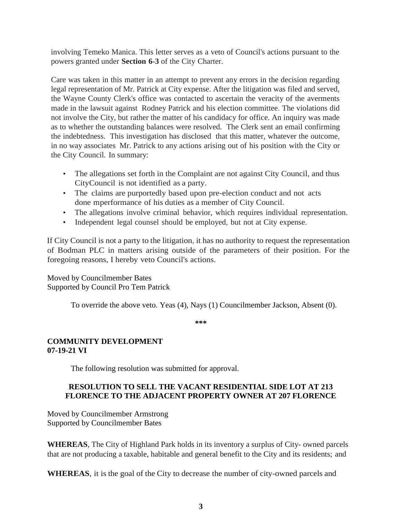involving Temeko Manica. This letter serves as a veto of Council's actions pursuant to the powers granted under **Section 6-3** of the City Charter.

Care was taken in this matter in an attempt to prevent any errors in the decision regarding legal representation of Mr. Patrick at City expense. After the litigation was filed and served, the Wayne County Clerk's office was contacted to ascertain the veracity of the averments made in the lawsuit against Rodney Patrick and his election committee. The violations did not involve the City, but rather the matter of his candidacy for office. An inquiry was made as to whether the outstanding balances were resolved. The Clerk sent an email confirming the indebtedness. This investigation has disclosed that this matter, whatever the outcome, in no way associates Mr. Patrick to any actions arising out of his position with the City or the City Council. In summary:

- The allegations set forth in the Complaint are not against City Council, and thus CityCouncil is not identified as a party.
- The claims are purportedly based upon pre-election conduct and not acts done mperformance of his duties as a member of City Council.
- The allegations involve criminal behavior, which requires individual representation.
- Independent legal counsel should be employed, but not at City expense.

If City Council is not a party to the litigation, it has no authority to request the representation of Bodman PLC in matters arising outside of the parameters of their position. For the foregoing reasons, I hereby veto Council's actions.

Moved by Councilmember Bates Supported by Council Pro Tem Patrick

To override the above veto. Yeas (4), Nays (1) Councilmember Jackson, Absent (0).

**\*\*\***

## **COMMUNITY DEVELOPMENT 07-19-21 VI**

The following resolution was submitted for approval.

## **RESOLUTION TO SELL THE VACANT RESIDENTIAL SIDE LOT AT 213 FLORENCE TO THE ADJACENT PROPERTY OWNER AT 207 FLORENCE**

Moved by Councilmember Armstrong Supported by Councilmember Bates

**WHEREAS**, The City of Highland Park holds in its inventory a surplus of City- owned parcels that are not producing a taxable, habitable and general benefit to the City and its residents; and

**WHEREAS**, it is the goal of the City to decrease the number of city-owned parcels and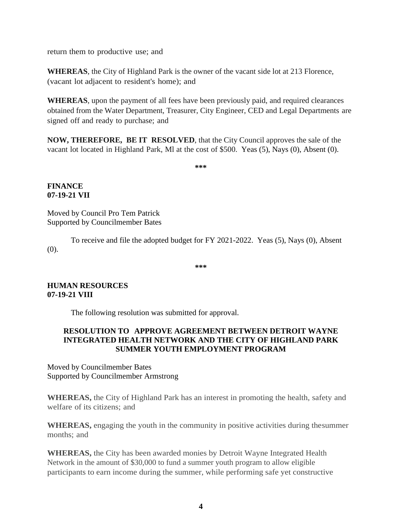return them to productive use; and

**WHEREAS**, the City of Highland Park is the owner of the vacant side lot at 213 Florence, (vacant lot adjacent to resident's home); and

**WHEREAS**, upon the payment of all fees have been previously paid, and required clearances obtained from the Water Department, Treasurer, City Engineer, CED and Legal Departments are signed off and ready to purchase; and

**NOW, THEREFORE, BE IT RESOLVED**, that the City Council approves the sale of the vacant lot located in Highland Park, Ml at the cost of \$500. Yeas (5), Nays (0), Absent (0).

**\*\*\***

## **FINANCE 07-19-21 VII**

Moved by Council Pro Tem Patrick Supported by Councilmember Bates

To receive and file the adopted budget for FY 2021-2022. Yeas (5), Nays (0), Absent (0).

**\*\*\***

## **HUMAN RESOURCES 07-19-21 VIII**

The following resolution was submitted for approval.

#### **RESOLUTION TO APPROVE AGREEMENT BETWEEN DETROIT WAYNE INTEGRATED HEALTH NETWORK AND THE CITY OF HIGHLAND PARK SUMMER YOUTH EMPLOYMENT PROGRAM**

Moved by Councilmember Bates Supported by Councilmember Armstrong

**WHEREAS,** the City of Highland Park has an interest in promoting the health, safety and welfare of its citizens; and

**WHEREAS,** engaging the youth in the community in positive activities during thesummer months; and

**WHEREAS,** the City has been awarded monies by Detroit Wayne Integrated Health Network in the amount of \$30,000 to fund a summer youth program to allow eligible participants to earn income during the summer, while performing safe yet constructive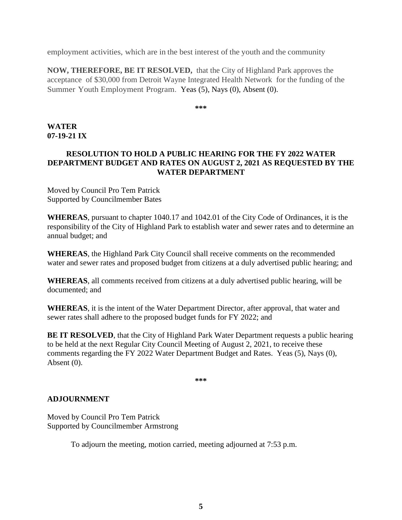employment activities, which are in the best interest of the youth and the community

**NOW, THEREFORE, BE IT RESOLVED,** that the City of Highland Park approves the acceptance of \$30,000 from Detroit Wayne Integrated Health Network for the funding of the Summer Youth Employment Program. Yeas (5), Nays (0), Absent (0).

**\*\*\***

#### **WATER 07-19-21 IX**

## **RESOLUTION TO HOLD A PUBLIC HEARING FOR THE FY 2022 WATER DEPARTMENT BUDGET AND RATES ON AUGUST 2, 2021 AS REQUESTED BY THE WATER DEPARTMENT**

Moved by Council Pro Tem Patrick Supported by Councilmember Bates

**WHEREAS**, pursuant to chapter 1040.17 and 1042.01 of the City Code of Ordinances, it is the responsibility of the City of Highland Park to establish water and sewer rates and to determine an annual budget; and

**WHEREAS**, the Highland Park City Council shall receive comments on the recommended water and sewer rates and proposed budget from citizens at a duly advertised public hearing; and

**WHEREAS**, all comments received from citizens at a duly advertised public hearing, will be documented; and

**WHEREAS**, it is the intent of the Water Department Director, after approval, that water and sewer rates shall adhere to the proposed budget funds for FY 2022; and

**BE IT RESOLVED**, that the City of Highland Park Water Department requests a public hearing to be held at the next Regular City Council Meeting of August 2, 2021, to receive these comments regarding the FY 2022 Water Department Budget and Rates. Yeas (5), Nays (0), Absent (0).

**\*\*\***

## **ADJOURNMENT**

Moved by Council Pro Tem Patrick Supported by Councilmember Armstrong

To adjourn the meeting, motion carried, meeting adjourned at 7:53 p.m.